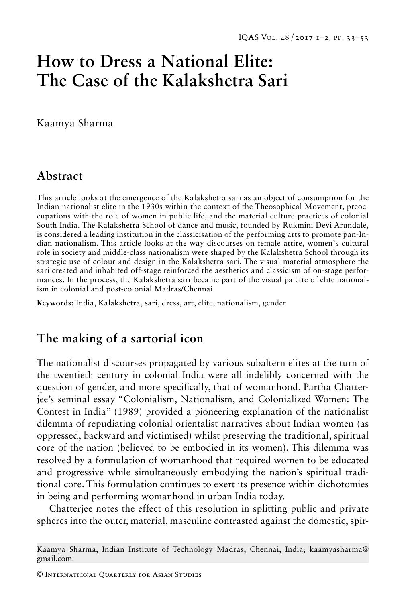# **How to Dress a National Elite: The Case of the Kalakshetra Sari**

Kaamya Sharma

# **Abstract**

This article looks at the emergence of the Kalakshetra sari as an object of consumption for the Indian nationalist elite in the 1930s within the context of the Theosophical Movement, preoccupations with the role of women in public life, and the material culture practices of colonial South India. The Kalakshetra School of dance and music, founded by Rukmini Devi Arundale, is considered a leading institution in the classicisation of the performing arts to promote pan-Indian nationalism. This article looks at the way discourses on female attire, women's cultural role in society and middle-class nationalism were shaped by the Kalakshetra School through its strategic use of colour and design in the Kalakshetra sari. The visual-material atmosphere the sari created and inhabited off-stage reinforced the aesthetics and classicism of on-stage performances. In the process, the Kalakshetra sari became part of the visual palette of elite nationalism in colonial and post-colonial Madras/Chennai.

**Keywords:** India, Kalakshetra, sari, dress, art, elite, nationalism, gender

## **The making of a sartorial icon**

The nationalist discourses propagated by various subaltern elites at the turn of the twentieth century in colonial India were all indelibly concerned with the question of gender, and more specifically, that of womanhood. Partha Chatterjee's seminal essay "Colonialism, Nationalism, and Colonialized Women: The Contest in India" (1989) provided a pioneering explanation of the nationalist dilemma of repudiating colonial orientalist narratives about Indian women (as oppressed, backward and victimised) whilst preserving the traditional, spiritual core of the nation (believed to be embodied in its women). This dilemma was resolved by a formulation of womanhood that required women to be educated and progressive while simultaneously embodying the nation's spiritual traditional core. This formulation continues to exert its presence within dichotomies in being and performing womanhood in urban India today.

Chatterjee notes the effect of this resolution in splitting public and private spheres into the outer, material, masculine contrasted against the domestic, spir-

Kaamya Sharma, Indian Institute of Technology Madras, Chennai, India; kaamyasharma@ gmail.com.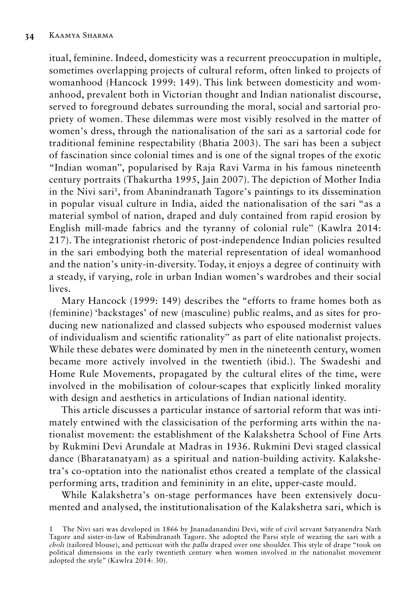itual, feminine. Indeed, domesticity was a recurrent preoccupation in multiple, sometimes overlapping projects of cultural reform, often linked to projects of womanhood (Hancock 1999: 149). This link between domesticity and womanhood, prevalent both in Victorian thought and Indian nationalist discourse, served to foreground debates surrounding the moral, social and sartorial propriety of women. These dilemmas were most visibly resolved in the matter of women's dress, through the nationalisation of the sari as a sartorial code for traditional feminine respectability (Bhatia 2003). The sari has been a subject of fascination since colonial times and is one of the signal tropes of the exotic "Indian woman", popularised by Raja Ravi Varma in his famous nineteenth century portraits (Thakurtha 1995, Jain 2007). The depiction of Mother India in the Nivi sari<sup>1</sup>, from Abanindranath Tagore's paintings to its dissemination in popular visual culture in India, aided the nationalisation of the sari "as a material symbol of nation, draped and duly contained from rapid erosion by English mill-made fabrics and the tyranny of colonial rule" (Kawlra 2014: 217). The integrationist rhetoric of post-independence Indian policies resulted in the sari embodying both the material representation of ideal womanhood and the nation's unity-in-diversity. Today, it enjoys a degree of continuity with a steady, if varying, role in urban Indian women's wardrobes and their social lives.

Mary Hancock (1999: 149) describes the "efforts to frame homes both as (feminine) 'backstages' of new (masculine) public realms, and as sites for producing new nationalized and classed subjects who espoused modernist values of individualism and scientific rationality" as part of elite nationalist projects. While these debates were dominated by men in the nineteenth century, women became more actively involved in the twentieth (ibid.). The Swadeshi and Home Rule Movements, propagated by the cultural elites of the time, were involved in the mobilisation of colour-scapes that explicitly linked morality with design and aesthetics in articulations of Indian national identity.

This article discusses a particular instance of sartorial reform that was intimately entwined with the classicisation of the performing arts within the nationalist movement: the establishment of the Kalakshetra School of Fine Arts by Rukmini Devi Arundale at Madras in 1936. Rukmini Devi staged classical dance (Bharatanatyam) as a spiritual and nation-building activity. Kalakshetra's co-optation into the nationalist ethos created a template of the classical performing arts, tradition and femininity in an elite, upper-caste mould.

While Kalakshetra's on-stage performances have been extensively documented and analysed, the institutionalisation of the Kalakshetra sari, which is

<sup>1</sup> The Nivi sari was developed in 1866 by Jnanadanandini Devi, wife of civil servant Satyanendra Nath Tagore and sister-in-law of Rabindranath Tagore. She adopted the Parsi style of wearing the sari with a *choli* (tailored blouse), and petticoat with the *pallu* draped over one shoulder. This style of drape "took on political dimensions in the early twentieth century when women involved in the nationalist movement adopted the style" (Kawlra 2014: 30).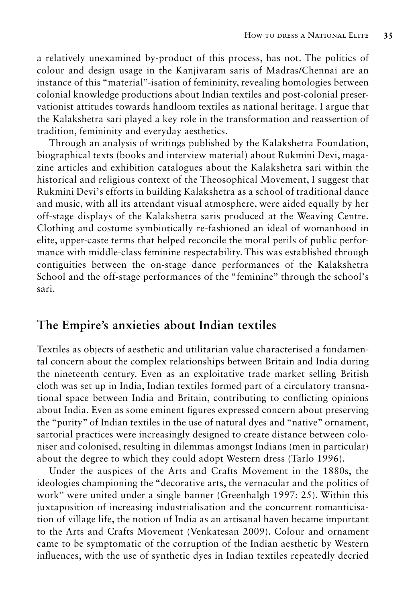a relatively unexamined by-product of this process, has not. The politics of colour and design usage in the Kanjivaram saris of Madras/Chennai are an instance of this "material"-isation of femininity, revealing homologies between colonial knowledge productions about Indian textiles and post-colonial preservationist attitudes towards handloom textiles as national heritage. I argue that the Kalakshetra sari played a key role in the transformation and reassertion of tradition, femininity and everyday aesthetics.

Through an analysis of writings published by the Kalakshetra Foundation, biographical texts (books and interview material) about Rukmini Devi, magazine articles and exhibition catalogues about the Kalakshetra sari within the historical and religious context of the Theosophical Movement, I suggest that Rukmini Devi's efforts in building Kalakshetra as a school of traditional dance and music, with all its attendant visual atmosphere, were aided equally by her off-stage displays of the Kalakshetra saris produced at the Weaving Centre. Clothing and costume symbiotically re-fashioned an ideal of womanhood in elite, upper-caste terms that helped reconcile the moral perils of public performance with middle-class feminine respectability. This was established through contiguities between the on-stage dance performances of the Kalakshetra School and the off-stage performances of the "feminine" through the school's sari.

#### **The Empire's anxieties about Indian textiles**

Textiles as objects of aesthetic and utilitarian value characterised a fundamental concern about the complex relationships between Britain and India during the nineteenth century. Even as an exploitative trade market selling British cloth was set up in India, Indian textiles formed part of a circulatory transnational space between India and Britain, contributing to conflicting opinions about India. Even as some eminent figures expressed concern about preserving the "purity" of Indian textiles in the use of natural dyes and "native" ornament, sartorial practices were increasingly designed to create distance between coloniser and colonised, resulting in dilemmas amongst Indians (men in particular) about the degree to which they could adopt Western dress (Tarlo 1996).

Under the auspices of the Arts and Crafts Movement in the 1880s, the ideologies championing the "decorative arts, the vernacular and the politics of work" were united under a single banner (Greenhalgh 1997: 25). Within this juxtaposition of increasing industrialisation and the concurrent romanticisation of village life, the notion of India as an artisanal haven became important to the Arts and Crafts Movement (Venkatesan 2009). Colour and ornament came to be symptomatic of the corruption of the Indian aesthetic by Western influences, with the use of synthetic dyes in Indian textiles repeatedly decried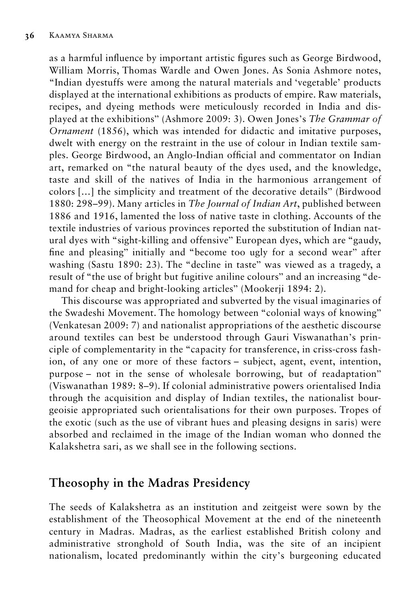as a harmful influence by important artistic figures such as George Birdwood, William Morris, Thomas Wardle and Owen Jones. As Sonia Ashmore notes, "Indian dyestuffs were among the natural materials and 'vegetable' products displayed at the international exhibitions as products of empire. Raw materials, recipes, and dyeing methods were meticulously recorded in India and displayed at the exhibitions" (Ashmore 2009: 3). Owen Jones's *The Grammar of Ornament* (1856), which was intended for didactic and imitative purposes, dwelt with energy on the restraint in the use of colour in Indian textile samples. George Birdwood, an Anglo-Indian official and commentator on Indian art, remarked on "the natural beauty of the dyes used, and the knowledge, taste and skill of the natives of India in the harmonious arrangement of colors […] the simplicity and treatment of the decorative details" (Birdwood 1880: 298–99). Many articles in *The Journal of Indian Art*, published between 1886 and 1916, lamented the loss of native taste in clothing. Accounts of the textile industries of various provinces reported the substitution of Indian natural dyes with "sight-killing and offensive" European dyes, which are "gaudy, fine and pleasing" initially and "become too ugly for a second wear" after washing (Sastu 1890: 23). The "decline in taste" was viewed as a tragedy, a result of "the use of bright but fugitive aniline colours" and an increasing "demand for cheap and bright-looking articles" (Mookerji 1894: 2).

This discourse was appropriated and subverted by the visual imaginaries of the Swadeshi Movement. The homology between "colonial ways of knowing" (Venkatesan 2009: 7) and nationalist appropriations of the aesthetic discourse around textiles can best be understood through Gauri Viswanathan's principle of complementarity in the "capacity for transference, in criss-cross fashion, of any one or more of these factors – subject, agent, event, intention, purpose – not in the sense of wholesale borrowing, but of readaptation" (Viswanathan 1989: 8–9). If colonial administrative powers orientalised India through the acquisition and display of Indian textiles, the nationalist bourgeoisie appropriated such orientalisations for their own purposes. Tropes of the exotic (such as the use of vibrant hues and pleasing designs in saris) were absorbed and reclaimed in the image of the Indian woman who donned the Kalakshetra sari, as we shall see in the following sections.

## **Theosophy in the Madras Presidency**

The seeds of Kalakshetra as an institution and zeitgeist were sown by the establishment of the Theosophical Movement at the end of the nineteenth century in Madras. Madras, as the earliest established British colony and administrative stronghold of South India, was the site of an incipient nationalism, located predominantly within the city's burgeoning educated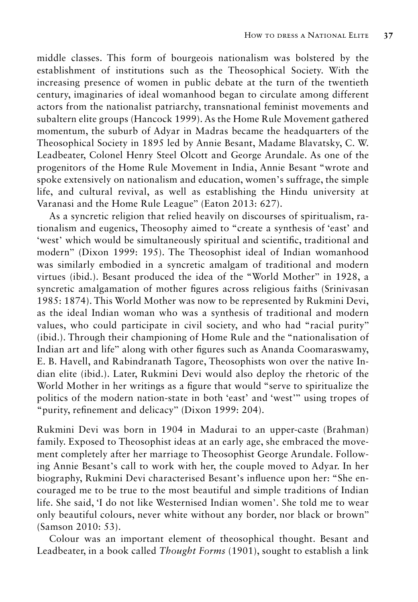middle classes. This form of bourgeois nationalism was bolstered by the establishment of institutions such as the Theosophical Society. With the increasing presence of women in public debate at the turn of the twentieth century, imaginaries of ideal womanhood began to circulate among different actors from the nationalist patriarchy, transnational feminist movements and subaltern elite groups (Hancock 1999). As the Home Rule Movement gathered momentum, the suburb of Adyar in Madras became the headquarters of the Theosophical Society in 1895 led by Annie Besant, Madame Blavatsky, C. W. Leadbeater, Colonel Henry Steel Olcott and George Arundale. As one of the progenitors of the Home Rule Movement in India, Annie Besant "wrote and spoke extensively on nationalism and education, women's suffrage, the simple life, and cultural revival, as well as establishing the Hindu university at Varanasi and the Home Rule League" (Eaton 2013: 627).

As a syncretic religion that relied heavily on discourses of spiritualism, rationalism and eugenics, Theosophy aimed to "create a synthesis of 'east' and 'west' which would be simultaneously spiritual and scientific, traditional and modern" (Dixon 1999: 195). The Theosophist ideal of Indian womanhood was similarly embodied in a syncretic amalgam of traditional and modern virtues (ibid.). Besant produced the idea of the "World Mother" in 1928, a syncretic amalgamation of mother figures across religious faiths (Srinivasan 1985: 1874). This World Mother was now to be represented by Rukmini Devi, as the ideal Indian woman who was a synthesis of traditional and modern values, who could participate in civil society, and who had "racial purity" (ibid.). Through their championing of Home Rule and the "nationalisation of Indian art and life" along with other figures such as Ananda Coomaraswamy, E. B. Havell, and Rabindranath Tagore, Theosophists won over the native Indian elite (ibid.). Later, Rukmini Devi would also deploy the rhetoric of the World Mother in her writings as a figure that would "serve to spiritualize the politics of the modern nation-state in both 'east' and 'west'" using tropes of "purity, refinement and delicacy" (Dixon 1999: 204).

Rukmini Devi was born in 1904 in Madurai to an upper-caste (Brahman) family. Exposed to Theosophist ideas at an early age, she embraced the movement completely after her marriage to Theosophist George Arundale. Following Annie Besant's call to work with her, the couple moved to Adyar. In her biography, Rukmini Devi characterised Besant's influence upon her: "She encouraged me to be true to the most beautiful and simple traditions of Indian life. She said, 'I do not like Westernised Indian women'. She told me to wear only beautiful colours, never white without any border, nor black or brown" (Samson 2010: 53).

Colour was an important element of theosophical thought. Besant and Leadbeater, in a book called *Thought Forms* (1901), sought to establish a link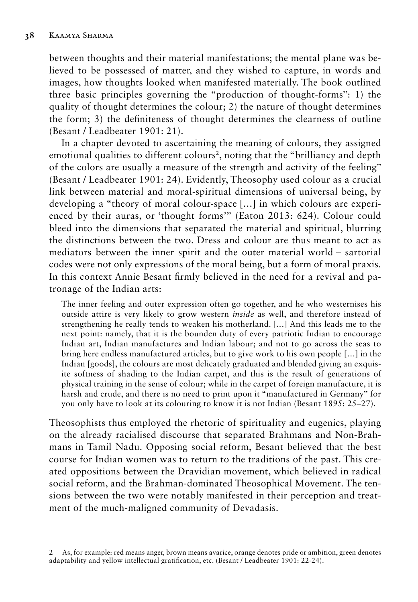between thoughts and their material manifestations; the mental plane was believed to be possessed of matter, and they wished to capture, in words and images, how thoughts looked when manifested materially. The book outlined three basic principles governing the "production of thought-forms": 1) the quality of thought determines the colour; 2) the nature of thought determines the form; 3) the definiteness of thought determines the clearness of outline (Besant / Leadbeater 1901: 21).

In a chapter devoted to ascertaining the meaning of colours, they assigned emotional qualities to different colours<sup>2</sup>, noting that the "brilliancy and depth of the colors are usually a measure of the strength and activity of the feeling" (Besant / Leadbeater 1901: 24). Evidently, Theosophy used colour as a crucial link between material and moral-spiritual dimensions of universal being, by developing a "theory of moral colour-space […] in which colours are experienced by their auras, or 'thought forms'" (Eaton 2013: 624). Colour could bleed into the dimensions that separated the material and spiritual, blurring the distinctions between the two. Dress and colour are thus meant to act as mediators between the inner spirit and the outer material world – sartorial codes were not only expressions of the moral being, but a form of moral praxis. In this context Annie Besant firmly believed in the need for a revival and patronage of the Indian arts:

The inner feeling and outer expression often go together, and he who westernises his outside attire is very likely to grow western *inside* as well, and therefore instead of strengthening he really tends to weaken his motherland. […] And this leads me to the next point: namely, that it is the bounden duty of every patriotic Indian to encourage Indian art, Indian manufactures and Indian labour; and not to go across the seas to bring here endless manufactured articles, but to give work to his own people […] in the Indian [goods], the colours are most delicately graduated and blended giving an exquisite softness of shading to the Indian carpet, and this is the result of generations of physical training in the sense of colour; while in the carpet of foreign manufacture, it is harsh and crude, and there is no need to print upon it "manufactured in Germany" for you only have to look at its colouring to know it is not Indian (Besant 1895: 25–27).

Theosophists thus employed the rhetoric of spirituality and eugenics, playing on the already racialised discourse that separated Brahmans and Non-Brahmans in Tamil Nadu. Opposing social reform, Besant believed that the best course for Indian women was to return to the traditions of the past. This created oppositions between the Dravidian movement, which believed in radical social reform, and the Brahman-dominated Theosophical Movement. The tensions between the two were notably manifested in their perception and treatment of the much-maligned community of Devadasis.

<sup>2</sup> As, for example: red means anger, brown means avarice, orange denotes pride or ambition, green denotes adaptability and yellow intellectual gratification, etc. (Besant / Leadbeater 1901: 22-24).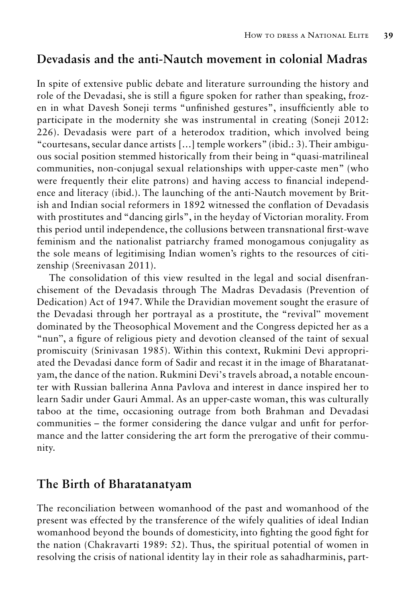## **Devadasis and the anti-Nautch movement in colonial Madras**

In spite of extensive public debate and literature surrounding the history and role of the Devadasi, she is still a figure spoken for rather than speaking, frozen in what Davesh Soneji terms "unfinished gestures", insufficiently able to participate in the modernity she was instrumental in creating (Soneji 2012: 226). Devadasis were part of a heterodox tradition, which involved being "courtesans, secular dance artists […] temple workers" (ibid.: 3). Their ambiguous social position stemmed historically from their being in "quasi-matrilineal communities, non-conjugal sexual relationships with upper-caste men" (who were frequently their elite patrons) and having access to financial independence and literacy (ibid.). The launching of the anti-Nautch movement by British and Indian social reformers in 1892 witnessed the conflation of Devadasis with prostitutes and "dancing girls", in the heyday of Victorian morality. From this period until independence, the collusions between transnational first-wave feminism and the nationalist patriarchy framed monogamous conjugality as the sole means of legitimising Indian women's rights to the resources of citizenship (Sreenivasan 2011).

The consolidation of this view resulted in the legal and social disenfranchisement of the Devadasis through The Madras Devadasis (Prevention of Dedication) Act of 1947. While the Dravidian movement sought the erasure of the Devadasi through her portrayal as a prostitute, the "revival" movement dominated by the Theosophical Movement and the Congress depicted her as a "nun", a figure of religious piety and devotion cleansed of the taint of sexual promiscuity (Srinivasan 1985). Within this context, Rukmini Devi appropriated the Devadasi dance form of Sadir and recast it in the image of Bharatanatyam, the dance of the nation. Rukmini Devi's travels abroad, a notable encounter with Russian ballerina Anna Pavlova and interest in dance inspired her to learn Sadir under Gauri Ammal. As an upper-caste woman, this was culturally taboo at the time, occasioning outrage from both Brahman and Devadasi communities – the former considering the dance vulgar and unfit for performance and the latter considering the art form the prerogative of their community.

#### **The Birth of Bharatanatyam**

The reconciliation between womanhood of the past and womanhood of the present was effected by the transference of the wifely qualities of ideal Indian womanhood beyond the bounds of domesticity, into fighting the good fight for the nation (Chakravarti 1989: 52). Thus, the spiritual potential of women in resolving the crisis of national identity lay in their role as sahadharminis, part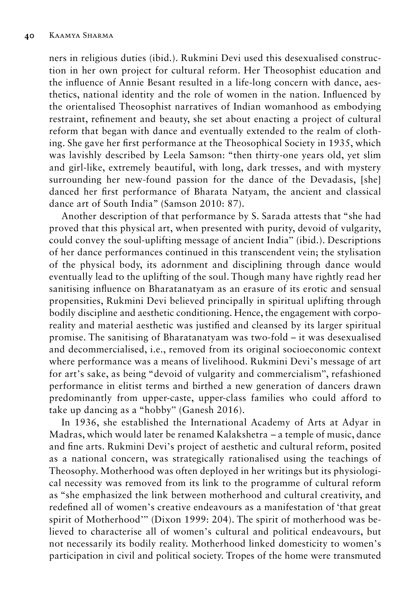ners in religious duties (ibid.). Rukmini Devi used this desexualised construction in her own project for cultural reform. Her Theosophist education and the influence of Annie Besant resulted in a life-long concern with dance, aesthetics, national identity and the role of women in the nation. Influenced by the orientalised Theosophist narratives of Indian womanhood as embodying restraint, refinement and beauty, she set about enacting a project of cultural reform that began with dance and eventually extended to the realm of clothing. She gave her first performance at the Theosophical Society in 1935, which was lavishly described by Leela Samson: "then thirty-one years old, yet slim and girl-like, extremely beautiful, with long, dark tresses, and with mystery surrounding her new-found passion for the dance of the Devadasis, [she] danced her first performance of Bharata Natyam, the ancient and classical dance art of South India" (Samson 2010: 87).

Another description of that performance by S. Sarada attests that "she had proved that this physical art, when presented with purity, devoid of vulgarity, could convey the soul-uplifting message of ancient India" (ibid.). Descriptions of her dance performances continued in this transcendent vein; the stylisation of the physical body, its adornment and disciplining through dance would eventually lead to the uplifting of the soul. Though many have rightly read her sanitising influence on Bharatanatyam as an erasure of its erotic and sensual propensities, Rukmini Devi believed principally in spiritual uplifting through bodily discipline and aesthetic conditioning. Hence, the engagement with corporeality and material aesthetic was justified and cleansed by its larger spiritual promise. The sanitising of Bharatanatyam was two-fold – it was desexualised and decommercialised, i.e., removed from its original socioeconomic context where performance was a means of livelihood. Rukmini Devi's message of art for art's sake, as being "devoid of vulgarity and commercialism", refashioned performance in elitist terms and birthed a new generation of dancers drawn predominantly from upper-caste, upper-class families who could afford to take up dancing as a "hobby" (Ganesh 2016).

In 1936, she established the International Academy of Arts at Adyar in Madras, which would later be renamed Kalakshetra – a temple of music, dance and fine arts. Rukmini Devi's project of aesthetic and cultural reform, posited as a national concern, was strategically rationalised using the teachings of Theosophy. Motherhood was often deployed in her writings but its physiological necessity was removed from its link to the programme of cultural reform as "she emphasized the link between motherhood and cultural creativity, and redefined all of women's creative endeavours as a manifestation of 'that great spirit of Motherhood'" (Dixon 1999: 204). The spirit of motherhood was believed to characterise all of women's cultural and political endeavours, but not necessarily its bodily reality. Motherhood linked domesticity to women's participation in civil and political society. Tropes of the home were transmuted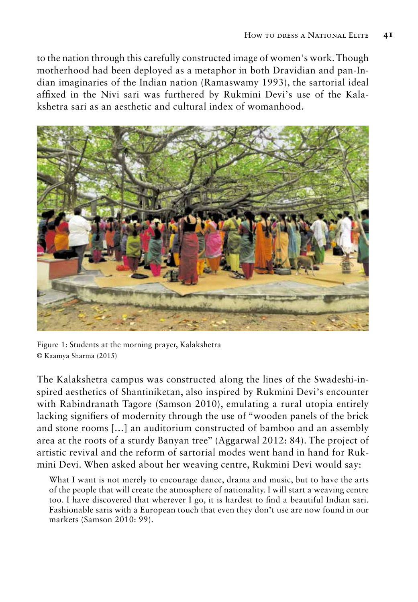to the nation through this carefully constructed image of women's work. Though motherhood had been deployed as a metaphor in both Dravidian and pan-Indian imaginaries of the Indian nation (Ramaswamy 1993), the sartorial ideal affixed in the Nivi sari was furthered by Rukmini Devi's use of the Kalakshetra sari as an aesthetic and cultural index of womanhood.



Figure 1: Students at the morning prayer, Kalakshetra © Kaamya Sharma (2015)

The Kalakshetra campus was constructed along the lines of the Swadeshi-inspired aesthetics of Shantiniketan, also inspired by Rukmini Devi's encounter with Rabindranath Tagore (Samson 2010), emulating a rural utopia entirely lacking signifiers of modernity through the use of "wooden panels of the brick and stone rooms […] an auditorium constructed of bamboo and an assembly area at the roots of a sturdy Banyan tree" (Aggarwal 2012: 84). The project of artistic revival and the reform of sartorial modes went hand in hand for Rukmini Devi. When asked about her weaving centre, Rukmini Devi would say:

What I want is not merely to encourage dance, drama and music, but to have the arts of the people that will create the atmosphere of nationality. I will start a weaving centre too. I have discovered that wherever I go, it is hardest to find a beautiful Indian sari. Fashionable saris with a European touch that even they don't use are now found in our markets (Samson 2010: 99).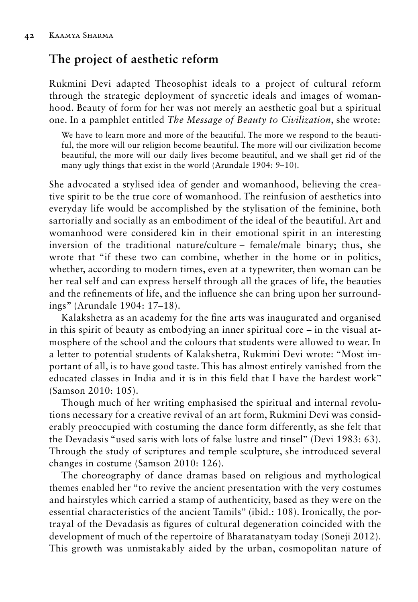# **The project of aesthetic reform**

Rukmini Devi adapted Theosophist ideals to a project of cultural reform through the strategic deployment of syncretic ideals and images of womanhood. Beauty of form for her was not merely an aesthetic goal but a spiritual one. In a pamphlet entitled *The Message of Beauty to Civilization*, she wrote:

We have to learn more and more of the beautiful. The more we respond to the beautiful, the more will our religion become beautiful. The more will our civilization become beautiful, the more will our daily lives become beautiful, and we shall get rid of the many ugly things that exist in the world (Arundale 1904: 9–10).

She advocated a stylised idea of gender and womanhood, believing the creative spirit to be the true core of womanhood. The reinfusion of aesthetics into everyday life would be accomplished by the stylisation of the feminine, both sartorially and socially as an embodiment of the ideal of the beautiful. Art and womanhood were considered kin in their emotional spirit in an interesting inversion of the traditional nature/culture – female/male binary; thus, she wrote that "if these two can combine, whether in the home or in politics, whether, according to modern times, even at a typewriter, then woman can be her real self and can express herself through all the graces of life, the beauties and the refinements of life, and the influence she can bring upon her surroundings" (Arundale 1904: 17–18).

Kalakshetra as an academy for the fine arts was inaugurated and organised in this spirit of beauty as embodying an inner spiritual core – in the visual atmosphere of the school and the colours that students were allowed to wear. In a letter to potential students of Kalakshetra, Rukmini Devi wrote: "Most important of all, is to have good taste. This has almost entirely vanished from the educated classes in India and it is in this field that I have the hardest work" (Samson 2010: 105).

Though much of her writing emphasised the spiritual and internal revolutions necessary for a creative revival of an art form, Rukmini Devi was considerably preoccupied with costuming the dance form differently, as she felt that the Devadasis "used saris with lots of false lustre and tinsel" (Devi 1983: 63). Through the study of scriptures and temple sculpture, she introduced several changes in costume (Samson 2010: 126).

The choreography of dance dramas based on religious and mythological themes enabled her "to revive the ancient presentation with the very costumes and hairstyles which carried a stamp of authenticity, based as they were on the essential characteristics of the ancient Tamils" (ibid.: 108). Ironically, the portrayal of the Devadasis as figures of cultural degeneration coincided with the development of much of the repertoire of Bharatanatyam today (Soneji 2012). This growth was unmistakably aided by the urban, cosmopolitan nature of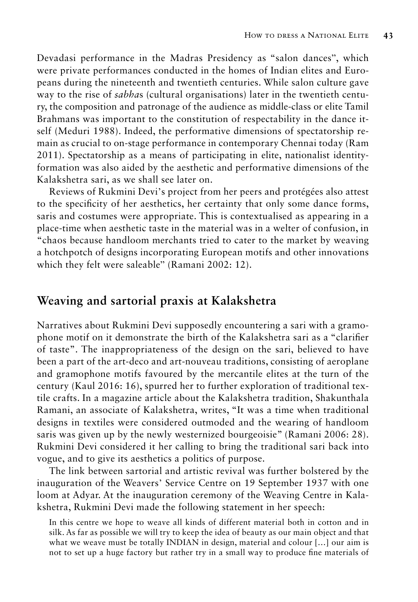Devadasi performance in the Madras Presidency as "salon dances", which were private performances conducted in the homes of Indian elites and Europeans during the nineteenth and twentieth centuries. While salon culture gave way to the rise of *sabha*s (cultural organisations) later in the twentieth century, the composition and patronage of the audience as middle-class or elite Tamil Brahmans was important to the constitution of respectability in the dance itself (Meduri 1988). Indeed, the performative dimensions of spectatorship remain as crucial to on-stage performance in contemporary Chennai today (Ram 2011). Spectatorship as a means of participating in elite, nationalist identityformation was also aided by the aesthetic and performative dimensions of the Kalakshetra sari, as we shall see later on.

Reviews of Rukmini Devi's project from her peers and protégées also attest to the specificity of her aesthetics, her certainty that only some dance forms, saris and costumes were appropriate. This is contextualised as appearing in a place-time when aesthetic taste in the material was in a welter of confusion, in "chaos because handloom merchants tried to cater to the market by weaving a hotchpotch of designs incorporating European motifs and other innovations which they felt were saleable" (Ramani 2002: 12).

## **Weaving and sartorial praxis at Kalakshetra**

Narratives about Rukmini Devi supposedly encountering a sari with a gramophone motif on it demonstrate the birth of the Kalakshetra sari as a "clarifier of taste". The inappropriateness of the design on the sari, believed to have been a part of the art-deco and art-nouveau traditions, consisting of aeroplane and gramophone motifs favoured by the mercantile elites at the turn of the century (Kaul 2016: 16), spurred her to further exploration of traditional textile crafts. In a magazine article about the Kalakshetra tradition, Shakunthala Ramani, an associate of Kalakshetra, writes, "It was a time when traditional designs in textiles were considered outmoded and the wearing of handloom saris was given up by the newly westernized bourgeoisie" (Ramani 2006: 28). Rukmini Devi considered it her calling to bring the traditional sari back into vogue, and to give its aesthetics a politics of purpose.

The link between sartorial and artistic revival was further bolstered by the inauguration of the Weavers' Service Centre on 19 September 1937 with one loom at Adyar. At the inauguration ceremony of the Weaving Centre in Kalakshetra, Rukmini Devi made the following statement in her speech:

In this centre we hope to weave all kinds of different material both in cotton and in silk. As far as possible we will try to keep the idea of beauty as our main object and that what we weave must be totally INDIAN in design, material and colour […] our aim is not to set up a huge factory but rather try in a small way to produce fine materials of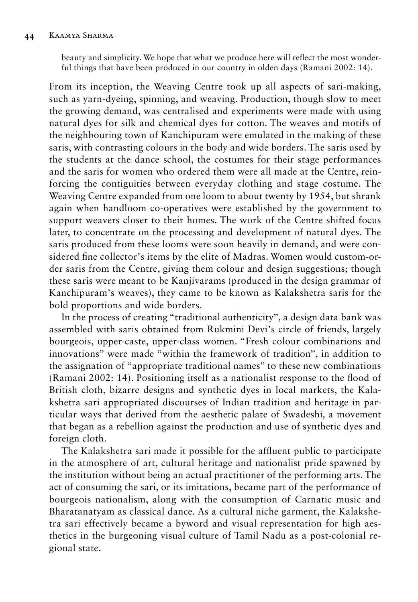beauty and simplicity. We hope that what we produce here will reflect the most wonderful things that have been produced in our country in olden days (Ramani 2002: 14).

From its inception, the Weaving Centre took up all aspects of sari-making, such as yarn-dyeing, spinning, and weaving. Production, though slow to meet the growing demand, was centralised and experiments were made with using natural dyes for silk and chemical dyes for cotton. The weaves and motifs of the neighbouring town of Kanchipuram were emulated in the making of these saris, with contrasting colours in the body and wide borders. The saris used by the students at the dance school, the costumes for their stage performances and the saris for women who ordered them were all made at the Centre, reinforcing the contiguities between everyday clothing and stage costume. The Weaving Centre expanded from one loom to about twenty by 1954, but shrank again when handloom co-operatives were established by the government to support weavers closer to their homes. The work of the Centre shifted focus later, to concentrate on the processing and development of natural dyes. The saris produced from these looms were soon heavily in demand, and were considered fine collector's items by the elite of Madras. Women would custom-order saris from the Centre, giving them colour and design suggestions; though these saris were meant to be Kanjivarams (produced in the design grammar of Kanchipuram's weaves), they came to be known as Kalakshetra saris for the bold proportions and wide borders.

In the process of creating "traditional authenticity", a design data bank was assembled with saris obtained from Rukmini Devi's circle of friends, largely bourgeois, upper-caste, upper-class women. "Fresh colour combinations and innovations" were made "within the framework of tradition", in addition to the assignation of "appropriate traditional names" to these new combinations (Ramani 2002: 14). Positioning itself as a nationalist response to the flood of British cloth, bizarre designs and synthetic dyes in local markets, the Kalakshetra sari appropriated discourses of Indian tradition and heritage in particular ways that derived from the aesthetic palate of Swadeshi*,* a movement that began as a rebellion against the production and use of synthetic dyes and foreign cloth.

The Kalakshetra sari made it possible for the affluent public to participate in the atmosphere of art, cultural heritage and nationalist pride spawned by the institution without being an actual practitioner of the performing arts. The act of consuming the sari, or its imitations, became part of the performance of bourgeois nationalism, along with the consumption of Carnatic music and Bharatanatyam as classical dance. As a cultural niche garment, the Kalakshetra sari effectively became a byword and visual representation for high aesthetics in the burgeoning visual culture of Tamil Nadu as a post-colonial regional state.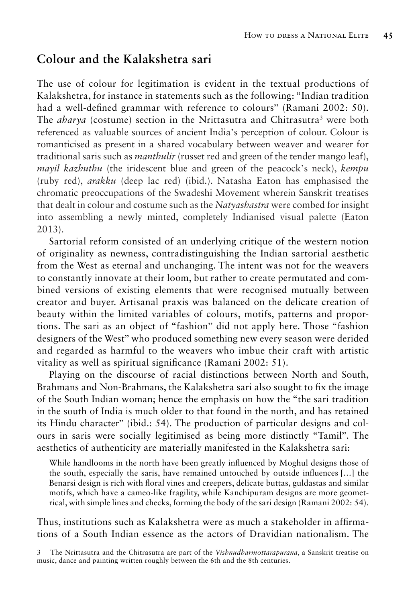## **Colour and the Kalakshetra sari**

The use of colour for legitimation is evident in the textual productions of Kalakshetra, for instance in statements such as the following: "Indian tradition had a well-defined grammar with reference to colours" (Ramani 2002: 50). The *aharya* (costume) section in the Nrittasutra and Chitrasutra<sup>3</sup> were both referenced as valuable sources of ancient India's perception of colour. Colour is romanticised as present in a shared vocabulary between weaver and wearer for traditional saris such as *manthulir* (russet red and green of the tender mango leaf), *mayil kazhuthu* (the iridescent blue and green of the peacock's neck), *kempu* (ruby red), *arakku* (deep lac red) (ibid.). Natasha Eaton has emphasised the chromatic preoccupations of the Swadeshi Movement wherein Sanskrit treatises that dealt in colour and costume such as the *Natyashastra* were combed for insight into assembling a newly minted, completely Indianised visual palette (Eaton 2013).

Sartorial reform consisted of an underlying critique of the western notion of originality as newness, contradistinguishing the Indian sartorial aesthetic from the West as eternal and unchanging. The intent was not for the weavers to constantly innovate at their loom, but rather to create permutated and combined versions of existing elements that were recognised mutually between creator and buyer. Artisanal praxis was balanced on the delicate creation of beauty within the limited variables of colours, motifs, patterns and proportions. The sari as an object of "fashion" did not apply here. Those "fashion designers of the West" who produced something new every season were derided and regarded as harmful to the weavers who imbue their craft with artistic vitality as well as spiritual significance (Ramani 2002: 51).

Playing on the discourse of racial distinctions between North and South, Brahmans and Non-Brahmans, the Kalakshetra sari also sought to fix the image of the South Indian woman; hence the emphasis on how the "the sari tradition in the south of India is much older to that found in the north, and has retained its Hindu character" (ibid.: 54). The production of particular designs and colours in saris were socially legitimised as being more distinctly "Tamil". The aesthetics of authenticity are materially manifested in the Kalakshetra sari:

While handlooms in the north have been greatly influenced by Moghul designs those of the south, especially the saris, have remained untouched by outside influences […] the Benarsi design is rich with floral vines and creepers, delicate buttas, guldastas and similar motifs, which have a cameo-like fragility, while Kanchipuram designs are more geometrical, with simple lines and checks, forming the body of the sari design (Ramani 2002: 54).

Thus, institutions such as Kalakshetra were as much a stakeholder in affirmations of a South Indian essence as the actors of Dravidian nationalism. The

<sup>3</sup> The Nrittasutra and the Chitrasutra are part of the *Vishnudharmottarapurana*, a Sanskrit treatise on music, dance and painting written roughly between the 6th and the 8th centuries.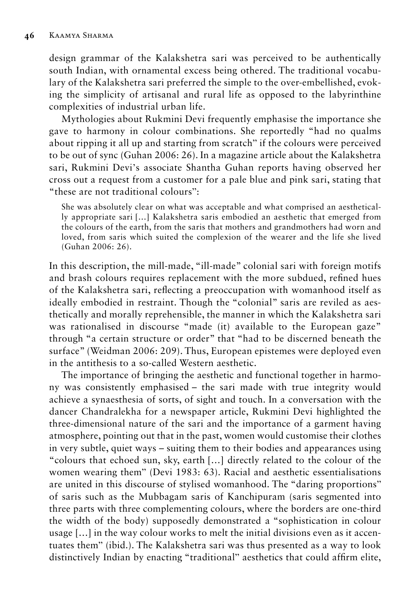design grammar of the Kalakshetra sari was perceived to be authentically south Indian, with ornamental excess being othered. The traditional vocabulary of the Kalakshetra sari preferred the simple to the over-embellished, evoking the simplicity of artisanal and rural life as opposed to the labyrinthine complexities of industrial urban life.

Mythologies about Rukmini Devi frequently emphasise the importance she gave to harmony in colour combinations. She reportedly "had no qualms about ripping it all up and starting from scratch" if the colours were perceived to be out of sync (Guhan 2006: 26). In a magazine article about the Kalakshetra sari, Rukmini Devi's associate Shantha Guhan reports having observed her cross out a request from a customer for a pale blue and pink sari, stating that "these are not traditional colours":

She was absolutely clear on what was acceptable and what comprised an aesthetically appropriate sari […] Kalakshetra saris embodied an aesthetic that emerged from the colours of the earth, from the saris that mothers and grandmothers had worn and loved, from saris which suited the complexion of the wearer and the life she lived (Guhan 2006: 26).

In this description, the mill-made, "ill-made" colonial sari with foreign motifs and brash colours requires replacement with the more subdued, refined hues of the Kalakshetra sari, reflecting a preoccupation with womanhood itself as ideally embodied in restraint. Though the "colonial" saris are reviled as aesthetically and morally reprehensible, the manner in which the Kalakshetra sari was rationalised in discourse "made (it) available to the European gaze" through "a certain structure or order" that "had to be discerned beneath the surface" (Weidman 2006: 209). Thus, European epistemes were deployed even in the antithesis to a so-called Western aesthetic.

The importance of bringing the aesthetic and functional together in harmony was consistently emphasised – the sari made with true integrity would achieve a synaesthesia of sorts, of sight and touch. In a conversation with the dancer Chandralekha for a newspaper article, Rukmini Devi highlighted the three-dimensional nature of the sari and the importance of a garment having atmosphere, pointing out that in the past, women would customise their clothes in very subtle, quiet ways – suiting them to their bodies and appearances using "colours that echoed sun, sky, earth […] directly related to the colour of the women wearing them" (Devi 1983: 63). Racial and aesthetic essentialisations are united in this discourse of stylised womanhood. The "daring proportions" of saris such as the Mubbagam saris of Kanchipuram (saris segmented into three parts with three complementing colours, where the borders are one-third the width of the body) supposedly demonstrated a "sophistication in colour usage […] in the way colour works to melt the initial divisions even as it accentuates them" (ibid.). The Kalakshetra sari was thus presented as a way to look distinctively Indian by enacting "traditional" aesthetics that could affirm elite,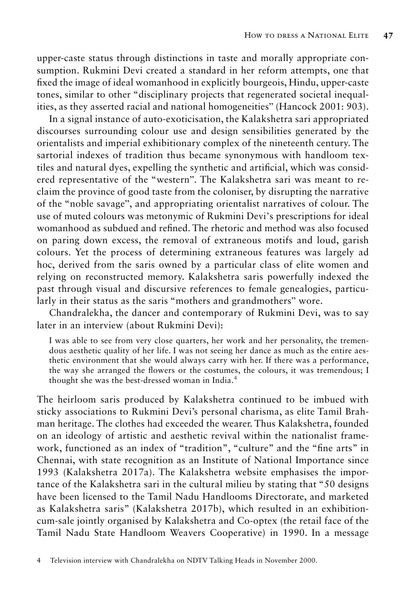upper-caste status through distinctions in taste and morally appropriate consumption. Rukmini Devi created a standard in her reform attempts, one that fixed the image of ideal womanhood in explicitly bourgeois, Hindu, upper-caste tones, similar to other "disciplinary projects that regenerated societal inequalities, as they asserted racial and national homogeneities" (Hancock 2001: 903).

In a signal instance of auto-exoticisation, the Kalakshetra sari appropriated discourses surrounding colour use and design sensibilities generated by the orientalists and imperial exhibitionary complex of the nineteenth century. The sartorial indexes of tradition thus became synonymous with handloom textiles and natural dyes, expelling the synthetic and artificial, which was considered representative of the "western". The Kalakshetra sari was meant to reclaim the province of good taste from the coloniser, by disrupting the narrative of the "noble savage", and appropriating orientalist narratives of colour. The use of muted colours was metonymic of Rukmini Devi's prescriptions for ideal womanhood as subdued and refined. The rhetoric and method was also focused on paring down excess, the removal of extraneous motifs and loud, garish colours. Yet the process of determining extraneous features was largely ad hoc, derived from the saris owned by a particular class of elite women and relying on reconstructed memory. Kalakshetra saris powerfully indexed the past through visual and discursive references to female genealogies, particularly in their status as the saris "mothers and grandmothers" wore.

Chandralekha, the dancer and contemporary of Rukmini Devi, was to say later in an interview (about Rukmini Devi):

I was able to see from very close quarters, her work and her personality, the tremendous aesthetic quality of her life. I was not seeing her dance as much as the entire aesthetic environment that she would always carry with her. If there was a performance, the way she arranged the flowers or the costumes, the colours, it was tremendous; I thought she was the best-dressed woman in India.<sup>4</sup>

The heirloom saris produced by Kalakshetra continued to be imbued with sticky associations to Rukmini Devi's personal charisma, as elite Tamil Brahman heritage. The clothes had exceeded the wearer. Thus Kalakshetra, founded on an ideology of artistic and aesthetic revival within the nationalist framework, functioned as an index of "tradition", "culture" and the "fine arts" in Chennai, with state recognition as an Institute of National Importance since 1993 (Kalakshetra 2017a). The Kalakshetra website emphasises the importance of the Kalakshetra sari in the cultural milieu by stating that "50 designs have been licensed to the Tamil Nadu Handlooms Directorate, and marketed as Kalakshetra saris" (Kalakshetra 2017b), which resulted in an exhibitioncum-sale jointly organised by Kalakshetra and Co-optex (the retail face of the Tamil Nadu State Handloom Weavers Cooperative) in 1990. In a message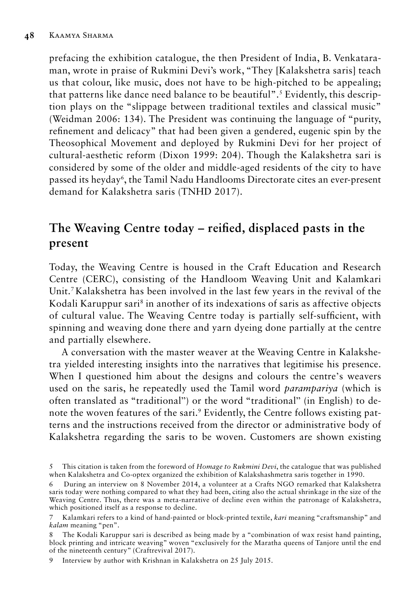prefacing the exhibition catalogue, the then President of India, B. Venkataraman, wrote in praise of Rukmini Devi's work, "They [Kalakshetra saris] teach us that colour, like music, does not have to be high-pitched to be appealing; that patterns like dance need balance to be beautiful".<sup>5</sup> Evidently, this description plays on the "slippage between traditional textiles and classical music" (Weidman 2006: 134). The President was continuing the language of "purity, refinement and delicacy" that had been given a gendered, eugenic spin by the Theosophical Movement and deployed by Rukmini Devi for her project of cultural-aesthetic reform (Dixon 1999: 204). Though the Kalakshetra sari is considered by some of the older and middle-aged residents of the city to have passed its heyday6 , the Tamil Nadu Handlooms Directorate cites an ever-present demand for Kalakshetra saris (TNHD 2017).

# **The Weaving Centre today – reified, displaced pasts in the present**

Today, the Weaving Centre is housed in the Craft Education and Research Centre (CERC), consisting of the Handloom Weaving Unit and Kalamkari Unit.7 Kalakshetra has been involved in the last few years in the revival of the Kodali Karuppur sari<sup>8</sup> in another of its indexations of saris as affective objects of cultural value. The Weaving Centre today is partially self-sufficient, with spinning and weaving done there and yarn dyeing done partially at the centre and partially elsewhere.

A conversation with the master weaver at the Weaving Centre in Kalakshetra yielded interesting insights into the narratives that legitimise his presence. When I questioned him about the designs and colours the centre's weavers used on the saris, he repeatedly used the Tamil word *parampariya* (which is often translated as "traditional") or the word "traditional" (in English) to denote the woven features of the sari.9 Evidently, the Centre follows existing patterns and the instructions received from the director or administrative body of Kalakshetra regarding the saris to be woven. Customers are shown existing

<sup>5</sup> This citation is taken from the foreword of *Homage to Rukmini Devi*, the catalogue that was published when Kalakshetra and Co-optex organized the exhibition of Kalakshashmetra saris together in 1990.

<sup>6</sup> During an interview on 8 November 2014, a volunteer at a Crafts NGO remarked that Kalakshetra saris today were nothing compared to what they had been, citing also the actual shrinkage in the size of the Weaving Centre. Thus, there was a meta-narrative of decline even within the patronage of Kalakshetra, which positioned itself as a response to decline.

<sup>7</sup> Kalamkari refers to a kind of hand-painted or block-printed textile, *kari* meaning "craftsmanship" and *kalam* meaning "pen".

<sup>8</sup> The Kodali Karuppur sari is described as being made by a "combination of wax resist hand painting, block printing and intricate weaving" woven "exclusively for the Maratha queens of Tanjore until the end of the nineteenth century" (Craftrevival 2017).

<sup>9</sup> Interview by author with Krishnan in Kalakshetra on 25 July 2015.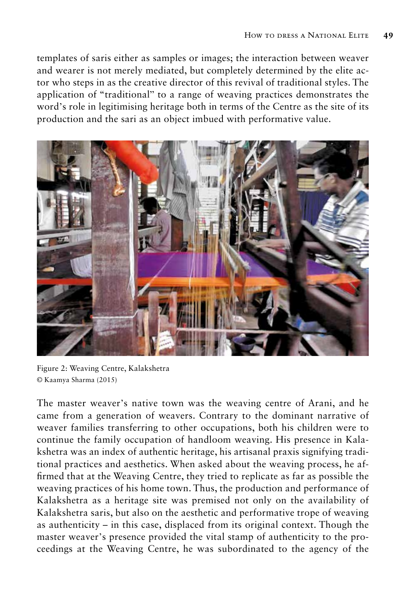templates of saris either as samples or images; the interaction between weaver and wearer is not merely mediated, but completely determined by the elite actor who steps in as the creative director of this revival of traditional styles. The application of "traditional" to a range of weaving practices demonstrates the word's role in legitimising heritage both in terms of the Centre as the site of its production and the sari as an object imbued with performative value.



Figure 2: Weaving Centre, Kalakshetra © Kaamya Sharma (2015)

The master weaver's native town was the weaving centre of Arani, and he came from a generation of weavers. Contrary to the dominant narrative of weaver families transferring to other occupations, both his children were to continue the family occupation of handloom weaving. His presence in Kalakshetra was an index of authentic heritage, his artisanal praxis signifying traditional practices and aesthetics. When asked about the weaving process, he affirmed that at the Weaving Centre, they tried to replicate as far as possible the weaving practices of his home town. Thus, the production and performance of Kalakshetra as a heritage site was premised not only on the availability of Kalakshetra saris, but also on the aesthetic and performative trope of weaving as authenticity – in this case, displaced from its original context. Though the master weaver's presence provided the vital stamp of authenticity to the proceedings at the Weaving Centre, he was subordinated to the agency of the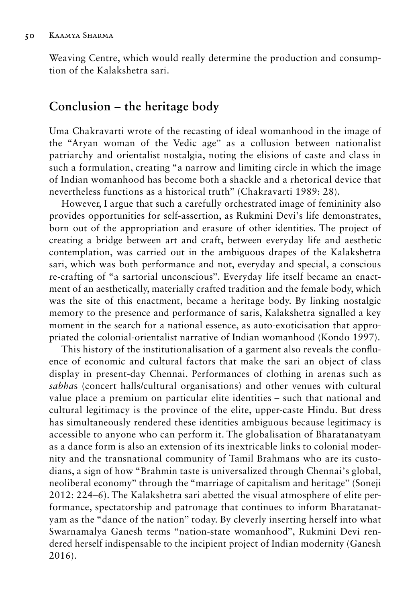Weaving Centre, which would really determine the production and consumption of the Kalakshetra sari.

## **Conclusion – the heritage body**

Uma Chakravarti wrote of the recasting of ideal womanhood in the image of the "Aryan woman of the Vedic age" as a collusion between nationalist patriarchy and orientalist nostalgia, noting the elisions of caste and class in such a formulation, creating "a narrow and limiting circle in which the image of Indian womanhood has become both a shackle and a rhetorical device that nevertheless functions as a historical truth" (Chakravarti 1989: 28).

However, I argue that such a carefully orchestrated image of femininity also provides opportunities for self-assertion, as Rukmini Devi's life demonstrates, born out of the appropriation and erasure of other identities. The project of creating a bridge between art and craft, between everyday life and aesthetic contemplation, was carried out in the ambiguous drapes of the Kalakshetra sari, which was both performance and not, everyday and special, a conscious re-crafting of "a sartorial unconscious". Everyday life itself became an enactment of an aesthetically, materially crafted tradition and the female body, which was the site of this enactment, became a heritage body. By linking nostalgic memory to the presence and performance of saris, Kalakshetra signalled a key moment in the search for a national essence, as auto-exoticisation that appropriated the colonial-orientalist narrative of Indian womanhood (Kondo 1997).

This history of the institutionalisation of a garment also reveals the confluence of economic and cultural factors that make the sari an object of class display in present-day Chennai. Performances of clothing in arenas such as *sabha*s (concert halls/cultural organisations) and other venues with cultural value place a premium on particular elite identities – such that national and cultural legitimacy is the province of the elite, upper-caste Hindu. But dress has simultaneously rendered these identities ambiguous because legitimacy is accessible to anyone who can perform it. The globalisation of Bharatanatyam as a dance form is also an extension of its inextricable links to colonial modernity and the transnational community of Tamil Brahmans who are its custodians, a sign of how "Brahmin taste is universalized through Chennai's global, neoliberal economy" through the "marriage of capitalism and heritage" (Soneji 2012: 224–6). The Kalakshetra sari abetted the visual atmosphere of elite performance, spectatorship and patronage that continues to inform Bharatanatyam as the "dance of the nation" today. By cleverly inserting herself into what Swarnamalya Ganesh terms "nation-state womanhood", Rukmini Devi rendered herself indispensable to the incipient project of Indian modernity (Ganesh 2016).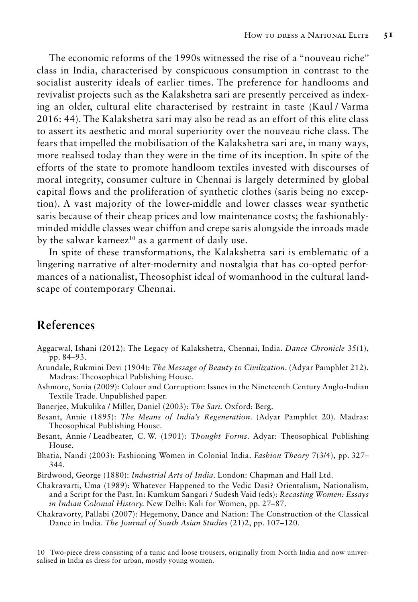The economic reforms of the 1990s witnessed the rise of a "nouveau riche" class in India, characterised by conspicuous consumption in contrast to the socialist austerity ideals of earlier times. The preference for handlooms and revivalist projects such as the Kalakshetra sari are presently perceived as indexing an older, cultural elite characterised by restraint in taste (Kaul / Varma 2016: 44). The Kalakshetra sari may also be read as an effort of this elite class to assert its aesthetic and moral superiority over the nouveau riche class. The fears that impelled the mobilisation of the Kalakshetra sari are, in many ways, more realised today than they were in the time of its inception. In spite of the efforts of the state to promote handloom textiles invested with discourses of moral integrity, consumer culture in Chennai is largely determined by global capital flows and the proliferation of synthetic clothes (saris being no exception). A vast majority of the lower-middle and lower classes wear synthetic saris because of their cheap prices and low maintenance costs; the fashionablyminded middle classes wear chiffon and crepe saris alongside the inroads made by the salwar kameez<sup>10</sup> as a garment of daily use.

In spite of these transformations, the Kalakshetra sari is emblematic of a lingering narrative of alter-modernity and nostalgia that has co-opted performances of a nationalist, Theosophist ideal of womanhood in the cultural landscape of contemporary Chennai.

## **References**

- Aggarwal, Ishani (2012): The Legacy of Kalakshetra, Chennai, India. *Dance Chronicle* 35(1), pp. 84–93.
- Arundale, Rukmini Devi (1904): *The Message of Beauty to Civilization*. (Adyar Pamphlet 212). Madras: Theosophical Publishing House.
- Ashmore, Sonia (2009): Colour and Corruption: Issues in the Nineteenth Century Anglo-Indian Textile Trade. Unpublished paper.
- Banerjee, Mukulika / Miller, Daniel (2003): *The Sari.* Oxford: Berg.
- Besant, Annie (1895): *The Means of India's Regeneration*. (Adyar Pamphlet 20). Madras: Theosophical Publishing House.
- Besant, Annie / Leadbeater, C. W. (1901): *Thought Forms*. Adyar: Theosophical Publishing House.
- Bhatia, Nandi (2003): Fashioning Women in Colonial India. *Fashion Theory* 7(3/4), pp. 327– 344.
- Birdwood, George (1880): *Industrial Arts of India*. London: Chapman and Hall Ltd.
- Chakravarti, Uma (1989): Whatever Happened to the Vedic Dasi? Orientalism, Nationalism, and a Script for the Past. In: Kumkum Sangari / Sudesh Vaid (eds): *Recasting Women: Essays in Indian Colonial History.* New Delhi: Kali for Women, pp. 27–87.
- Chakravorty, Pallabi (2007): Hegemony, Dance and Nation: The Construction of the Classical Dance in India. *The Journal of South Asian Studies* (21)2, pp. 107–120.

10 Two-piece dress consisting of a tunic and loose trousers, originally from North India and now universalised in India as dress for urban, mostly young women.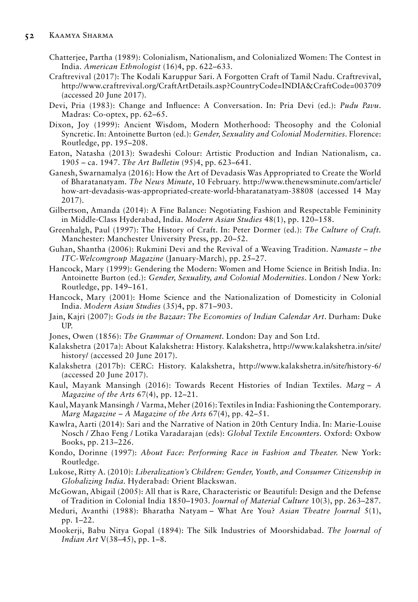- Chatterjee, Partha (1989): Colonialism, Nationalism, and Colonialized Women: The Contest in India. *American Ethnologist* (16)4, pp. 622–633.
- Craftrevival (2017): The Kodali Karuppur Sari. A Forgotten Craft of Tamil Nadu. Craftrevival, http://www.craftrevival.org/CraftArtDetails.asp?CountryCode=INDIA&CraftCode=003709 (accessed 20 June 2017).
- Devi, Pria (1983): Change and Influence: A Conversation. In: Pria Devi (ed.): *Pudu Pavu*. Madras: Co-optex, pp. 62–65.
- Dixon, Joy (1999): Ancient Wisdom, Modern Motherhood: Theosophy and the Colonial Syncretic. In: Antoinette Burton (ed.): *Gender, Sexuality and Colonial Modernities.* Florence: Routledge, pp. 195–208.
- Eaton, Natasha (2013): Swadeshi Colour: Artistic Production and Indian Nationalism, ca. 1905 – ca. 1947. *The Art Bulletin* (95)4, pp. 623–641.
- Ganesh, Swarnamalya (2016): How the Art of Devadasis Was Appropriated to Create the World of Bharatanatyam. *The News Minute*, 10 February. http://www.thenewsminute.com/article/ how-art-devadasis-was-appropriated-create-world-bharatanatyam-38808 (accessed 14 May 2017).
- Gilbertson, Amanda (2014): A Fine Balance: Negotiating Fashion and Respectable Femininity in Middle-Class Hyderabad, India. *Modern Asian Studies* 48(1), pp. 120–158.
- Greenhalgh, Paul (1997): The History of Craft. In: Peter Dormer (ed.): *The Culture of Craft.* Manchester: Manchester University Press, pp. 20–52.
- Guhan, Shantha (2006): Rukmini Devi and the Revival of a Weaving Tradition. *Namaste the ITC-Welcomgroup Magazine* (January-March)*,* pp. 25–27.
- Hancock, Mary (1999): Gendering the Modern: Women and Home Science in British India. In: Antoinette Burton (ed.): *Gender, Sexuality, and Colonial Modernities*. London / New York: Routledge, pp. 149–161.
- Hancock, Mary (2001): Home Science and the Nationalization of Domesticity in Colonial India. *Modern Asian Studies* (35)4, pp. 871–903.
- Jain, Kajri (2007): *Gods in the Bazaar: The Economies of Indian Calendar Art*. Durham: Duke UP.
- Jones, Owen (1856): *The Grammar of Ornament.* London: Day and Son Ltd.
- Kalakshetra (2017a): About Kalakshetra: History. Kalakshetra, http://www.kalakshetra.in/site/ history/ (accessed 20 June 2017).
- Kalakshetra (2017b): CERC: History. Kalakshetra, http://www.kalakshetra.in/site/history-6/ (accessed 20 June 2017).
- Kaul, Mayank Mansingh (2016): Towards Recent Histories of Indian Textiles. *Marg A Magazine of the Arts* 67(4), pp. 12–21.
- Kaul, Mayank Mansingh / Varma, Meher (2016): Textiles in India: Fashioning the Contemporary. *Marg Magazine* – *A Magazine of the Arts* 67(4), pp. 42–51.
- Kawlra, Aarti (2014): Sari and the Narrative of Nation in 20th Century India. In: Marie-Louise Nosch / Zhao Feng / Lotika Varadarajan (eds): *Global Textile Encounters.* Oxford: Oxbow Books, pp. 213–226.
- Kondo, Dorinne (1997): *About Face: Performing Race in Fashion and Theater.* New York: Routledge.
- Lukose, Ritty A. (2010): *Liberalization's Children: Gender, Youth, and Consumer Citizenship in Globalizing India.* Hyderabad: Orient Blackswan.
- McGowan, Abigail (2005): All that is Rare, Characteristic or Beautiful: Design and the Defense of Tradition in Colonial India 1850–1903. *Journal of Material Culture* 10(3), pp. 263–287.
- Meduri, Avanthi (1988): Bharatha Natyam What Are You? *Asian Theatre Journal* 5(1), pp. 1–22.
- Mookerji, Babu Nitya Gopal (1894): The Silk Industries of Moorshidabad. *The Journal of Indian Art* V(38–45), pp. 1–8.